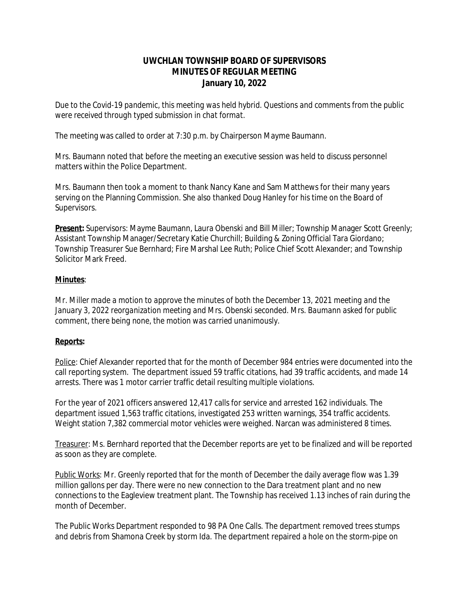# **UWCHLAN TOWNSHIP BOARD OF SUPERVISORS MINUTES OF REGULAR MEETING January 10, 2022**

*Due to the Covid-19 pandemic, this meeting was held hybrid. Questions and comments from the public were received through typed submission in chat format.* 

The meeting was called to order at 7:30 p.m. by Chairperson Mayme Baumann.

Mrs. Baumann noted that before the meeting an executive session was held to discuss personnel matters within the Police Department.

Mrs. Baumann then took a moment to thank Nancy Kane and Sam Matthews for their many years serving on the Planning Commission. She also thanked Doug Hanley for his time on the Board of Supervisors.

**Present:** Supervisors: Mayme Baumann, Laura Obenski and Bill Miller; Township Manager Scott Greenly; Assistant Township Manager/Secretary Katie Churchill; Building & Zoning Official Tara Giordano; Township Treasurer Sue Bernhard; Fire Marshal Lee Ruth; Police Chief Scott Alexander; and Township Solicitor Mark Freed.

### **Minutes**:

*Mr. Miller made a motion to approve the minutes of both the December 13, 2021 meeting and the January 3, 2022 reorganization meeting and Mrs. Obenski seconded. Mrs. Baumann asked for public comment, there being none, the motion was carried unanimously.*

### **Reports:**

Police: Chief Alexander reported that for the month of December 984 entries were documented into the call reporting system. The department issued 59 traffic citations, had 39 traffic accidents, and made 14 arrests. There was 1 motor carrier traffic detail resulting multiple violations.

For the year of 2021 officers answered 12,417 calls for service and arrested 162 individuals. The department issued 1,563 traffic citations, investigated 253 written warnings, 354 traffic accidents. Weight station 7,382 commercial motor vehicles were weighed. Narcan was administered 8 times.

Treasurer: Ms. Bernhard reported that the December reports are yet to be finalized and will be reported as soon as they are complete.

Public Works: Mr. Greenly reported that for the month of December the daily average flow was 1.39 million gallons per day. There were no new connection to the Dara treatment plant and no new connections to the Eagleview treatment plant. The Township has received 1.13 inches of rain during the month of December.

The Public Works Department responded to 98 PA One Calls. The department removed trees stumps and debris from Shamona Creek by storm Ida. The department repaired a hole on the storm-pipe on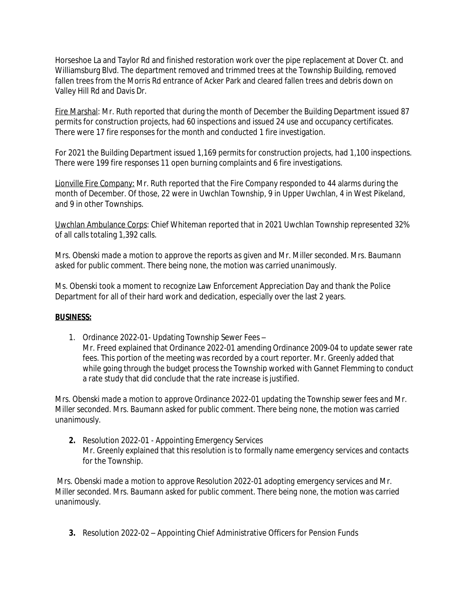Horseshoe La and Taylor Rd and finished restoration work over the pipe replacement at Dover Ct. and Williamsburg Blvd. The department removed and trimmed trees at the Township Building, removed fallen trees from the Morris Rd entrance of Acker Park and cleared fallen trees and debris down on Valley Hill Rd and Davis Dr.

Fire Marshal: Mr. Ruth reported that during the month of December the Building Department issued 87 permits for construction projects, had 60 inspections and issued 24 use and occupancy certificates. There were 17 fire responses for the month and conducted 1 fire investigation.

For 2021 the Building Department issued 1,169 permits for construction projects, had 1,100 inspections. There were 199 fire responses 11 open burning complaints and 6 fire investigations.

Lionville Fire Company: Mr. Ruth reported that the Fire Company responded to 44 alarms during the month of December. Of those, 22 were in Uwchlan Township, 9 in Upper Uwchlan, 4 in West Pikeland, and 9 in other Townships.

Uwchlan Ambulance Corps: Chief Whiteman reported that in 2021 Uwchlan Township represented 32% of all calls totaling 1,392 calls.

*Mrs. Obenski made a motion to approve the reports as given and Mr. Miller seconded. Mrs. Baumann asked for public comment. There being none, the motion was carried unanimously.*

Ms. Obenski took a moment to recognize Law Enforcement Appreciation Day and thank the Police Department for all of their hard work and dedication, especially over the last 2 years.

### **BUSINESS:**

1. Ordinance 2022-01- Updating Township Sewer Fees – Mr. Freed explained that Ordinance 2022-01 amending Ordinance 2009-04 to update sewer rate fees. This portion of the meeting was recorded by a court reporter. Mr. Greenly added that while going through the budget process the Township worked with Gannet Flemming to conduct a rate study that did conclude that the rate increase is justified.

*Mrs. Obenski made a motion to approve Ordinance 2022-01 updating the Township sewer fees and Mr. Miller seconded. Mrs. Baumann asked for public comment. There being none, the motion was carried unanimously.*

**2.** Resolution 2022-01 - Appointing Emergency Services Mr. Greenly explained that this resolution is to formally name emergency services and contacts for the Township.

*Mrs. Obenski made a motion to approve Resolution 2022-01 adopting emergency services and Mr. Miller seconded. Mrs. Baumann asked for public comment. There being none, the motion was carried unanimously.*

**3.** Resolution 2022-02 – Appointing Chief Administrative Officers for Pension Funds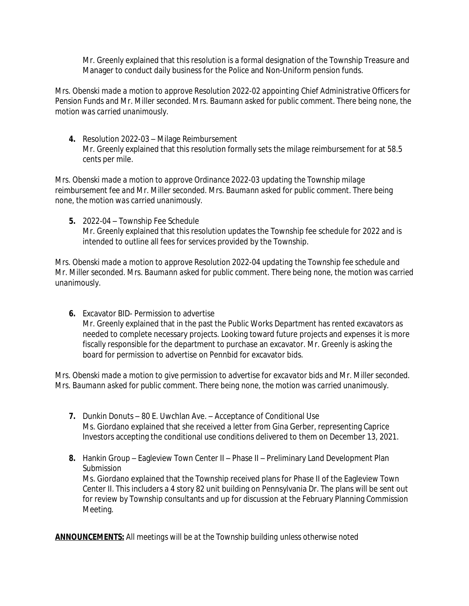Mr. Greenly explained that this resolution is a formal designation of the Township Treasure and Manager to conduct daily business for the Police and Non-Uniform pension funds.

*Mrs. Obenski made a motion to approve Resolution 2022-02 appointing Chief Administrative Officers for Pension Funds and Mr. Miller seconded. Mrs. Baumann asked for public comment. There being none, the motion was carried unanimously.*

**4.** Resolution 2022-03 – Milage Reimbursement Mr. Greenly explained that this resolution formally sets the milage reimbursement for at 58.5 cents per mile.

*Mrs. Obenski made a motion to approve Ordinance 2022-03 updating the Township milage reimbursement fee and Mr. Miller seconded. Mrs. Baumann asked for public comment. There being none, the motion was carried unanimously.*

**5.** 2022-04 – Township Fee Schedule Mr. Greenly explained that this resolution updates the Township fee schedule for 2022 and is intended to outline all fees for services provided by the Township.

*Mrs. Obenski made a motion to approve Resolution 2022-04 updating the Township fee schedule and Mr. Miller seconded. Mrs. Baumann asked for public comment. There being none, the motion was carried unanimously.*

**6.** Excavator BID- Permission to advertise Mr. Greenly explained that in the past the Public Works Department has rented excavators as needed to complete necessary projects. Looking toward future projects and expenses it is more fiscally responsible for the department to purchase an excavator. Mr. Greenly is asking the board for permission to advertise on Pennbid for excavator bids.

*Mrs. Obenski made a motion to give permission to advertise for excavator bids and Mr. Miller seconded. Mrs. Baumann asked for public comment. There being none, the motion was carried unanimously.*

- **7.** Dunkin Donuts 80 E. Uwchlan Ave. Acceptance of Conditional Use Ms. Giordano explained that she received a letter from Gina Gerber, representing Caprice Investors accepting the conditional use conditions delivered to them on December 13, 2021.
- **8.** Hankin Group Eagleview Town Center II Phase II Preliminary Land Development Plan Submission Ms. Giordano explained that the Township received plans for Phase II of the Eagleview Town Center II. This includers a 4 story 82 unit building on Pennsylvania Dr. The plans will be sent out for review by Township consultants and up for discussion at the February Planning Commission Meeting.

**ANNOUNCEMENTS:** *All meetings will be at the Township building unless otherwise noted*